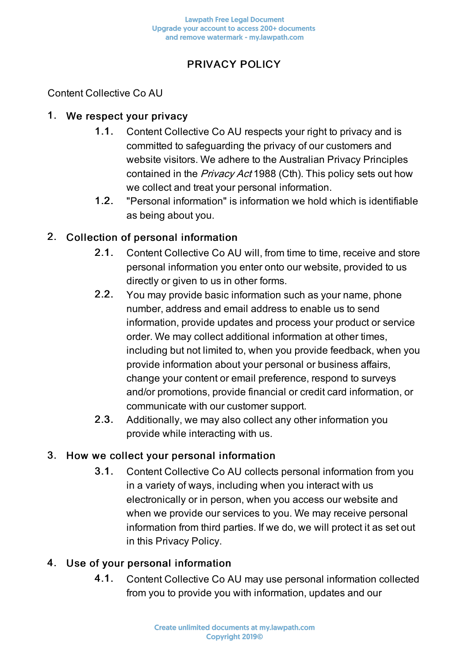# PRIVACY POLICY

Content Collective Co AU

#### 1. We respect your privacy

- 1.1. Content Collective Co AU respects your right to privacy and is committed to safeguarding the privacy of our customers and website visitors. We adhere to the Australian Privacy Principles contained in the *Privacy Act* 1988 (Cth). This policy sets out how we collect and treat your personal information.
- 1.2. "Personal information" is information we hold which is identifiable as being about you.

### 2. Collection of personal information

- 2.1. Content Collective Co AU will, from time to time, receive and store personal information you enter onto our website, provided to us directly or given to us in other forms.
- 2.2. You may provide basic information such as your name, phone number, address and email address to enable us to send information, provide updates and process your product or service order. We may collect additional information at other times, including but not limited to, when you provide feedback, when you provide information about your personal or business affairs, change your content or email preference, respond to surveys and/or promotions, provide financial or credit card information, or communicate with our customer support.
- 2.3. Additionally, we may also collect any other information you provide while interacting with us.

### 3. How we collect your personal information

3.1. Content Collective Co AU collects personal information from you in a variety of ways, including when you interact with us electronically or in person, when you access our website and when we provide our services to you. We may receive personal information from third parties. If we do, we will protect it as set out in this Privacy Policy.

## 4. Use of your personal information

4.1. Content Collective Co AU may use personal information collected from you to provide you with information, updates and our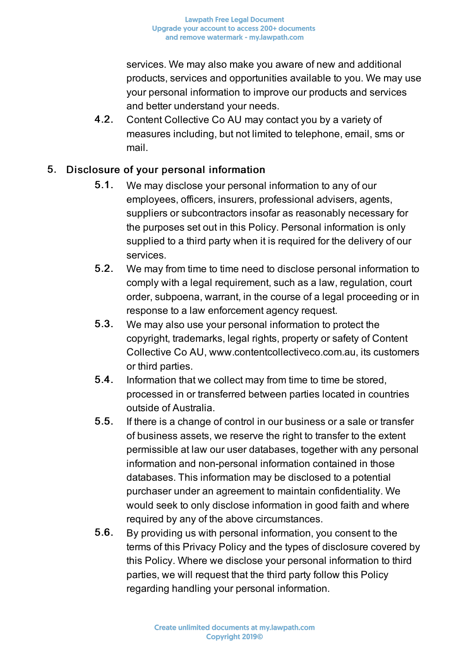services. We may also make you aware of new and additional products, services and opportunities available to you. We may use your personal information to improve our products and services and better understand your needs.

4.2. Content Collective Co AU may contact you by a variety of measures including, but not limited to telephone, email, sms or mail.

# 5. Disclosure of your personal information

- 5.1. We may disclose your personal information to any of our employees, officers, insurers, professional advisers, agents, suppliers or subcontractors insofar as reasonably necessary for the purposes set out in this Policy. Personal information is only supplied to a third party when it is required for the delivery of our services.
- 5.2. We may from time to time need to disclose personal information to comply with a legal requirement, such as a law, regulation, court order, subpoena, warrant, in the course of a legal proceeding or in response to a law enforcement agency request.
- 5.3. We may also use your personal information to protect the copyright, trademarks, legal rights, property or safety of Content Collective Co AU, www.contentcollectiveco.com.au, its customers or third parties.
- 5.4. Information that we collect may from time to time be stored, processed in or transferred between parties located in countries outside of Australia.
- 5.5. If there is a change of control in our business or a sale or transfer of business assets, we reserve the right to transfer to the extent permissible at law our user databases, together with any personal information and non-personal information contained in those databases. This information may be disclosed to a potential purchaser under an agreement to maintain confidentiality. We would seek to only disclose information in good faith and where required by any of the above circumstances.
- 5.6. By providing us with personal information, you consent to the terms of this Privacy Policy and the types of disclosure covered by this Policy. Where we disclose your personal information to third parties, we will request that the third party follow this Policy regarding handling your personal information.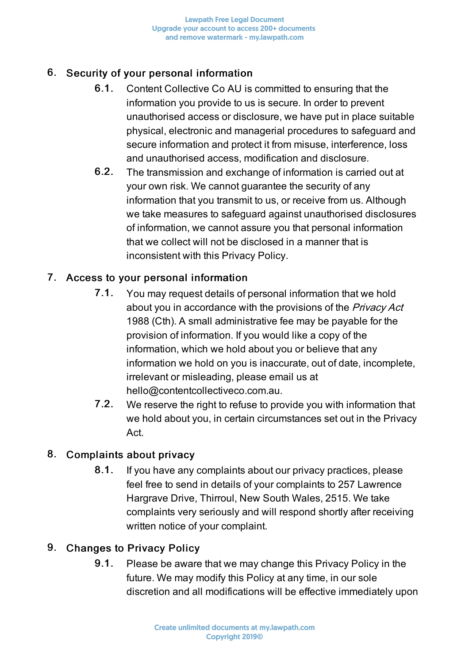# 6. Security of your personal information

- 6.1. Content Collective Co AU is committed to ensuring that the information you provide to us is secure. In order to prevent unauthorised access or disclosure, we have put in place suitable physical, electronic and managerial procedures to safeguard and secure information and protect it from misuse, interference, loss and unauthorised access, modification and disclosure.
- 6.2. The transmission and exchange of information is carried out at your own risk. We cannot guarantee the security of any information that you transmit to us, or receive from us. Although we take measures to safeguard against unauthorised disclosures of information, we cannot assure you that personal information that we collect will not be disclosed in a manner that is inconsistent with this Privacy Policy.

## 7. Access to your personal information

- 7.1. You may request details of personal information that we hold about you in accordance with the provisions of the *Privacy Act* 1988 (Cth). A small administrative fee may be payable for the provision of information. If you would like a copy of the information, which we hold about you or believe that any information we hold on you is inaccurate, out of date, incomplete, irrelevant or misleading, please email us at hello@contentcollectiveco.com.au.
- 7.2. We reserve the right to refuse to provide you with information that we hold about you, in certain circumstances set out in the Privacy Act.

## 8. Complaints about privacy

8.1. If you have any complaints about our privacy practices, please feel free to send in details of your complaints to 257 Lawrence Hargrave Drive, Thirroul, New South Wales, 2515. We take complaints very seriously and will respond shortly after receiving written notice of your complaint.

## 9. Changes to Privacy Policy

9.1. Please be aware that we may change this Privacy Policy in the future. We may modify this Policy at any time, in our sole discretion and all modifications will be effective immediately upon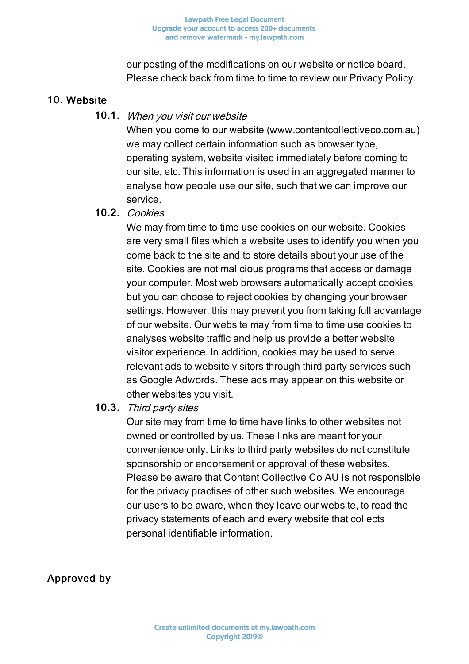our posting of the modifications on our website or notice board. Please check back from time to time to review our Privacy Policy.

### 10. Website

#### 10.1. When you visit our website

When you come to our website (www.contentcollectiveco.com.au) we may collect certain information such as browser type, operating system, website visited immediately before coming to our site, etc. This information is used in an aggregated manner to analyse how people use our site, such that we can improve our service.

### 10.2. Cookies

We may from time to time use cookies on our website. Cookies are very small files which a website uses to identify you when you come back to the site and to store details about your use of the site. Cookies are not malicious programs that access or damage your computer. Most web browsers automatically accept cookies but you can choose to reject cookies by changing your browser settings. However, this may prevent you from taking full advantage of our website. Our website may from time to time use cookies to analyses website traffic and help us provide a better website visitor experience. In addition, cookies may be used to serve relevant ads to website visitors through third party services such as Google Adwords. These ads may appear on this website or other websites you visit.

### 10.3. Third party sites

Our site may from time to time have links to other websites not owned or controlled by us. These links are meant for your convenience only. Links to third party websites do not constitute sponsorship or endorsement or approval of these websites. Please be aware that Content Collective Co AU is not responsible for the privacy practises of other such websites. We encourage our users to be aware, when they leave our website, to read the privacy statements of each and every website that collects personal identifiable information.

Approved by